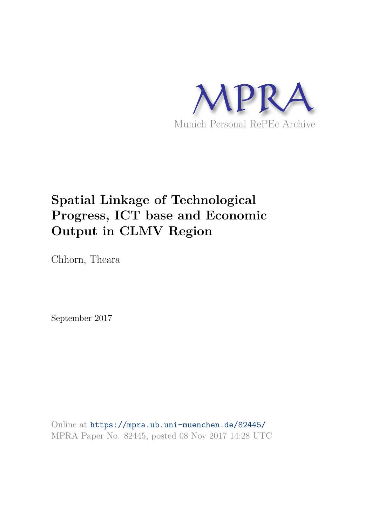

## **Spatial Linkage of Technological Progress, ICT base and Economic Output in CLMV Region**

Chhorn, Theara

September 2017

Online at https://mpra.ub.uni-muenchen.de/82445/ MPRA Paper No. 82445, posted 08 Nov 2017 14:28 UTC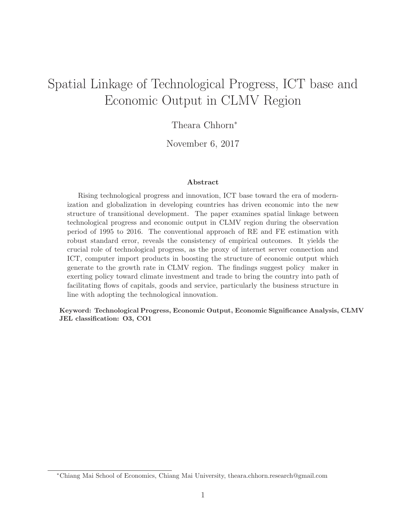### Spatial Linkage of Technological Progress, ICT base and Economic Output in CLMV Region

Theara Chhorn<sup>∗</sup>

November 6, 2017

#### Abstract

Rising technological progress and innovation, ICT base toward the era of modernization and globalization in developing countries has driven economic into the new structure of transitional development. The paper examines spatial linkage between technological progress and economic output in CLMV region during the observation period of 1995 to 2016. The conventional approach of RE and FE estimation with robust standard error, reveals the consistency of empirical outcomes. It yields the crucial role of technological progress, as the proxy of internet server connection and ICT, computer import products in boosting the structure of economic output which generate to the growth rate in CLMV region. The findings suggest policy maker in exerting policy toward climate investment and trade to bring the country into path of facilitating flows of capitals, goods and service, particularly the business structure in line with adopting the technological innovation.

Keyword: Technological Progress, Economic Output, Economic Significance Analysis, CLMV JEL classification: O3, CO1

<sup>∗</sup>Chiang Mai School of Economics, Chiang Mai University, theara.chhorn.research@gmail.com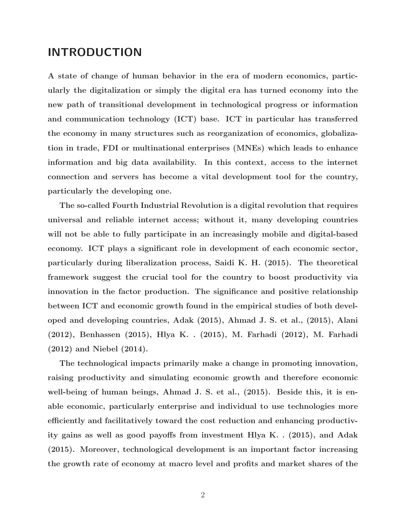#### INTRODUCTION

A state of change of human behavior in the era of modern economics, particularly the digitalization or simply the digital era has turned economy into the new path of transitional development in technological progress or information and communication technology (ICT) base. ICT in particular has transferred the economy in many structures such as reorganization of economics, globalization in trade, FDI or multinational enterprises (MNEs) which leads to enhance information and big data availability. In this context, access to the internet connection and servers has become a vital development tool for the country, particularly the developing one.

The so-called Fourth Industrial Revolution is a digital revolution that requires universal and reliable internet access; without it, many developing countries will not be able to fully participate in an increasingly mobile and digital-based economy. ICT plays a significant role in development of each economic sector, particularly during liberalization process, Saidi K. H. (2015). The theoretical framework suggest the crucial tool for the country to boost productivity via innovation in the factor production. The significance and positive relationship between ICT and economic growth found in the empirical studies of both developed and developing countries, Adak (2015), Ahmad J. S. et al., (2015), Alani (2012), Benhassen (2015), Hlya K. . (2015), M. Farhadi (2012), M. Farhadi (2012) and Niebel (2014).

The technological impacts primarily make a change in promoting innovation, raising productivity and simulating economic growth and therefore economic well-being of human beings, Ahmad J. S. et al., (2015). Beside this, it is enable economic, particularly enterprise and individual to use technologies more efficiently and facilitatively toward the cost reduction and enhancing productivity gains as well as good payoffs from investment Hlya K. . (2015), and Adak (2015). Moreover, technological development is an important factor increasing the growth rate of economy at macro level and profits and market shares of the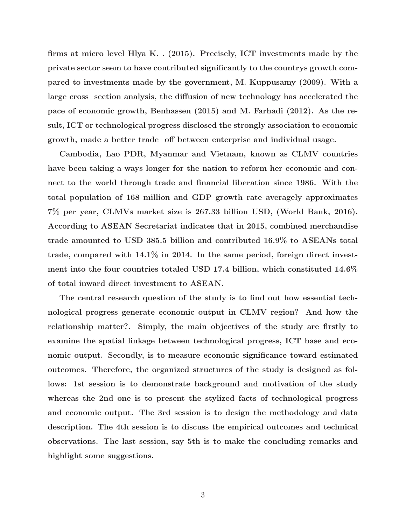firms at micro level Hlya K. . (2015). Precisely, ICT investments made by the private sector seem to have contributed significantly to the countrys growth compared to investments made by the government, M. Kuppusamy (2009). With a large cross section analysis, the diffusion of new technology has accelerated the pace of economic growth, Benhassen (2015) and M. Farhadi (2012). As the result, ICT or technological progress disclosed the strongly association to economic growth, made a better trade off between enterprise and individual usage.

Cambodia, Lao PDR, Myanmar and Vietnam, known as CLMV countries have been taking a ways longer for the nation to reform her economic and connect to the world through trade and financial liberation since 1986. With the total population of 168 million and GDP growth rate averagely approximates 7% per year, CLMVs market size is 267.33 billion USD, (World Bank, 2016). According to ASEAN Secretariat indicates that in 2015, combined merchandise trade amounted to USD 385.5 billion and contributed 16.9% to ASEANs total trade, compared with 14.1% in 2014. In the same period, foreign direct investment into the four countries totaled USD 17.4 billion, which constituted 14.6% of total inward direct investment to ASEAN.

The central research question of the study is to find out how essential technological progress generate economic output in CLMV region? And how the relationship matter?. Simply, the main objectives of the study are firstly to examine the spatial linkage between technological progress, ICT base and economic output. Secondly, is to measure economic significance toward estimated outcomes. Therefore, the organized structures of the study is designed as follows: 1st session is to demonstrate background and motivation of the study whereas the 2nd one is to present the stylized facts of technological progress and economic output. The 3rd session is to design the methodology and data description. The 4th session is to discuss the empirical outcomes and technical observations. The last session, say 5th is to make the concluding remarks and highlight some suggestions.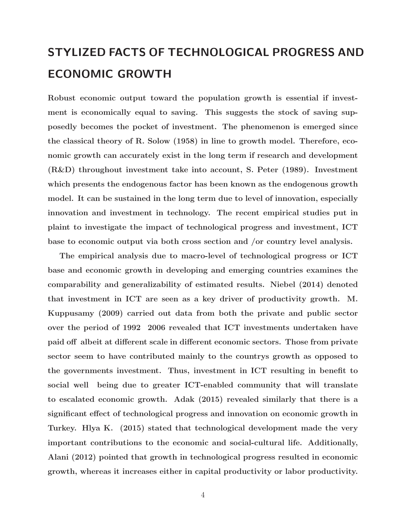# STYLIZED FACTS OF TECHNOLOGICAL PROGRESS AND ECONOMIC GROWTH

Robust economic output toward the population growth is essential if investment is economically equal to saving. This suggests the stock of saving supposedly becomes the pocket of investment. The phenomenon is emerged since the classical theory of R. Solow (1958) in line to growth model. Therefore, economic growth can accurately exist in the long term if research and development (R&D) throughout investment take into account, S. Peter (1989). Investment which presents the endogenous factor has been known as the endogenous growth model. It can be sustained in the long term due to level of innovation, especially innovation and investment in technology. The recent empirical studies put in plaint to investigate the impact of technological progress and investment, ICT base to economic output via both cross section and /or country level analysis.

The empirical analysis due to macro-level of technological progress or ICT base and economic growth in developing and emerging countries examines the comparability and generalizability of estimated results. Niebel (2014) denoted that investment in ICT are seen as a key driver of productivity growth. M. Kuppusamy (2009) carried out data from both the private and public sector over the period of 1992 2006 revealed that ICT investments undertaken have paid off albeit at different scale in different economic sectors. Those from private sector seem to have contributed mainly to the countrys growth as opposed to the governments investment. Thus, investment in ICT resulting in benefit to social well being due to greater ICT-enabled community that will translate to escalated economic growth. Adak (2015) revealed similarly that there is a significant effect of technological progress and innovation on economic growth in Turkey. Hlya K. (2015) stated that technological development made the very important contributions to the economic and social-cultural life. Additionally, Alani (2012) pointed that growth in technological progress resulted in economic growth, whereas it increases either in capital productivity or labor productivity.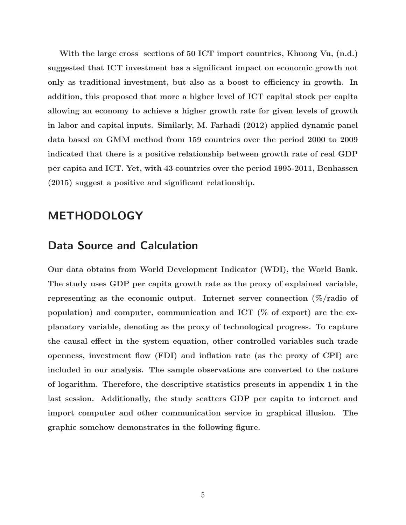With the large cross sections of 50 ICT import countries, Khuong Vu,  $(n.d.)$ suggested that ICT investment has a significant impact on economic growth not only as traditional investment, but also as a boost to efficiency in growth. In addition, this proposed that more a higher level of ICT capital stock per capita allowing an economy to achieve a higher growth rate for given levels of growth in labor and capital inputs. Similarly, M. Farhadi (2012) applied dynamic panel data based on GMM method from 159 countries over the period 2000 to 2009 indicated that there is a positive relationship between growth rate of real GDP per capita and ICT. Yet, with 43 countries over the period 1995-2011, Benhassen (2015) suggest a positive and significant relationship.

#### METHODOLOGY

### Data Source and Calculation

Our data obtains from World Development Indicator (WDI), the World Bank. The study uses GDP per capita growth rate as the proxy of explained variable, representing as the economic output. Internet server connection  $(\%/r \cdot r \cdot \delta)$ population) and computer, communication and ICT ( $\%$  of export) are the explanatory variable, denoting as the proxy of technological progress. To capture the causal effect in the system equation, other controlled variables such trade openness, investment flow (FDI) and inflation rate (as the proxy of CPI) are included in our analysis. The sample observations are converted to the nature of logarithm. Therefore, the descriptive statistics presents in appendix 1 in the last session. Additionally, the study scatters GDP per capita to internet and import computer and other communication service in graphical illusion. The graphic somehow demonstrates in the following figure.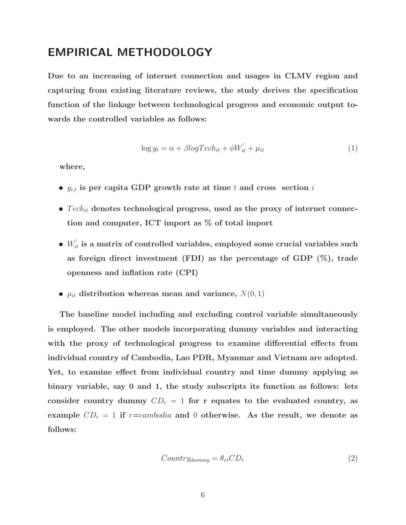### EMPIRICAL METHODOLOGY

Due to an increasing of internet connection and usages in CLMV region and capturing from existing literature reviews, the study derives the specification function of the linkage between technological progress and economic output towards the controlled variables as follows:

$$
\log y_t = \alpha + \beta \log T ech_{it} + \phi W'_{it} + \mu_{it} \tag{1}
$$

where,

- $y_{i,t}$  is per capita GDP growth rate at time t and cross section i
- $Tech_{it}$  denotes technological progress, used as the proxy of internet connection and computer, ICT import as % of total import
- $\bullet \; W_{it}^{'}$  is a matrix of controlled variables, employed some crucial variables such as foreign direct investment (FDI) as the percentage of GDP  $(\%)$ , trade openness and inflation rate (CPI)
- $\mu_{it}$  distribution whereas mean and variance,  $N(0, 1)$

The baseline model including and excluding control variable simultaneously is employed. The other models incorporating dummy variables and interacting with the proxy of technological progress to examine differential effects from individual country of Cambodia, Lao PDR, Myanmar and Vietnam are adopted. Yet, to examine effect from individual country and time dummy applying as binary variable, say 0 and 1, the study subscripts its function as follows: lets consider country dummy  $CD<sub>r</sub> = 1$  for r equates to the evaluated country, as example  $CD_r = 1$  if  $r=cambodia$  and 0 otherwise. As the result, we denote as follows:

$$
Country_{dummy} = \theta_{rt}CD_r \tag{2}
$$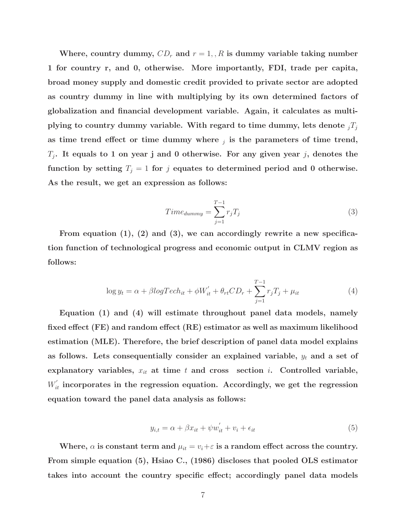Where, country dummy,  $CD_r$  and  $r = 1, R$  is dummy variable taking number 1 for country r, and 0, otherwise. More importantly, FDI, trade per capita, broad money supply and domestic credit provided to private sector are adopted as country dummy in line with multiplying by its own determined factors of globalization and financial development variable. Again, it calculates as multiplying to country dummy variable. With regard to time dummy, lets denote  $_iT_i$ as time trend effect or time dummy where  $_j$  is the parameters of time trend,  $T_i$ . It equals to 1 on year j and 0 otherwise. For any given year j, denotes the function by setting  $T_j = 1$  for j equates to determined period and 0 otherwise. As the result, we get an expression as follows:

$$
Time_{dummy} = \sum_{j=1}^{T-1} r_j T_j \tag{3}
$$

From equation (1), (2) and (3), we can accordingly rewrite a new specification function of technological progress and economic output in CLMV region as follows:

$$
\log y_t = \alpha + \beta \log T ech_{it} + \phi W'_{it} + \theta_{rt} CD_r + \sum_{j=1}^{T-1} r_j T_j + \mu_{it}
$$
\n
$$
\tag{4}
$$

Equation (1) and (4) will estimate throughout panel data models, namely fixed effect (FE) and random effect (RE) estimator as well as maximum likelihood estimation (MLE). Therefore, the brief description of panel data model explains as follows. Lets consequentially consider an explained variable,  $y_t$  and a set of explanatory variables,  $x_{it}$  at time t and cross section i. Controlled variable,  $W_{it}^{'}$  incorporates in the regression equation. Accordingly, we get the regression equation toward the panel data analysis as follows:

$$
y_{i,t} = \alpha + \beta x_{it} + \psi w_{it}^{'} + v_i + \epsilon_{it}
$$
\n
$$
\tag{5}
$$

Where,  $\alpha$  is constant term and  $\mu_{it} = v_i + \varepsilon$  is a random effect across the country. From simple equation (5), Hsiao C., (1986) discloses that pooled OLS estimator takes into account the country specific effect; accordingly panel data models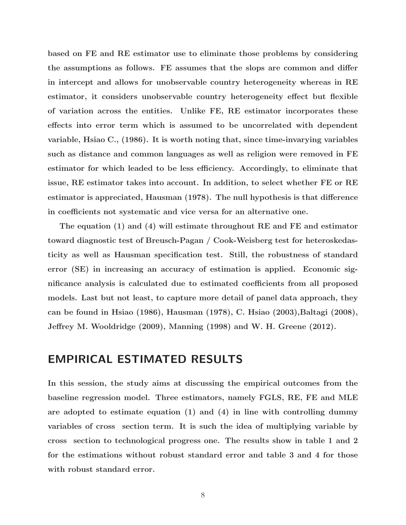based on FE and RE estimator use to eliminate those problems by considering the assumptions as follows. FE assumes that the slops are common and differ in intercept and allows for unobservable country heterogeneity whereas in RE estimator, it considers unobservable country heterogeneity effect but flexible of variation across the entities. Unlike FE, RE estimator incorporates these effects into error term which is assumed to be uncorrelated with dependent variable, Hsiao C., (1986). It is worth noting that, since time-invarying variables such as distance and common languages as well as religion were removed in FE estimator for which leaded to be less efficiency. Accordingly, to eliminate that issue, RE estimator takes into account. In addition, to select whether FE or RE estimator is appreciated, Hausman (1978). The null hypothesis is that difference in coefficients not systematic and vice versa for an alternative one.

The equation (1) and (4) will estimate throughout RE and FE and estimator toward diagnostic test of Breusch-Pagan / Cook-Weisberg test for heteroskedasticity as well as Hausman specification test. Still, the robustness of standard error (SE) in increasing an accuracy of estimation is applied. Economic significance analysis is calculated due to estimated coefficients from all proposed models. Last but not least, to capture more detail of panel data approach, they can be found in Hsiao (1986), Hausman (1978), C. Hsiao (2003), Baltagi (2008), Jeffrey M. Wooldridge (2009), Manning (1998) and W. H. Greene (2012).

#### EMPIRICAL ESTIMATED RESULTS

In this session, the study aims at discussing the empirical outcomes from the baseline regression model. Three estimators, namely FGLS, RE, FE and MLE are adopted to estimate equation (1) and (4) in line with controlling dummy variables of cross section term. It is such the idea of multiplying variable by cross section to technological progress one. The results show in table 1 and 2 for the estimations without robust standard error and table 3 and 4 for those with robust standard error.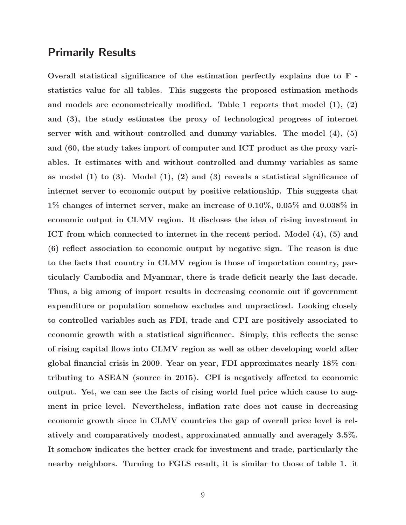#### Primarily Results

Overall statistical significance of the estimation perfectly explains due to F statistics value for all tables. This suggests the proposed estimation methods and models are econometrically modified. Table 1 reports that model (1), (2) and (3), the study estimates the proxy of technological progress of internet server with and without controlled and dummy variables. The model (4), (5) and (60, the study takes import of computer and ICT product as the proxy variables. It estimates with and without controlled and dummy variables as same as model  $(1)$  to  $(3)$ . Model  $(1)$ ,  $(2)$  and  $(3)$  reveals a statistical significance of internet server to economic output by positive relationship. This suggests that 1% changes of internet server, make an increase of 0.10%, 0.05% and 0.038% in economic output in CLMV region. It discloses the idea of rising investment in ICT from which connected to internet in the recent period. Model (4), (5) and (6) reflect association to economic output by negative sign. The reason is due to the facts that country in CLMV region is those of importation country, particularly Cambodia and Myanmar, there is trade deficit nearly the last decade. Thus, a big among of import results in decreasing economic out if government expenditure or population somehow excludes and unpracticed. Looking closely to controlled variables such as FDI, trade and CPI are positively associated to economic growth with a statistical significance. Simply, this reflects the sense of rising capital flows into CLMV region as well as other developing world after global financial crisis in 2009. Year on year, FDI approximates nearly 18% contributing to ASEAN (source in 2015). CPI is negatively affected to economic output. Yet, we can see the facts of rising world fuel price which cause to augment in price level. Nevertheless, inflation rate does not cause in decreasing economic growth since in CLMV countries the gap of overall price level is relatively and comparatively modest, approximated annually and averagely 3.5%. It somehow indicates the better crack for investment and trade, particularly the nearby neighbors. Turning to FGLS result, it is similar to those of table 1. it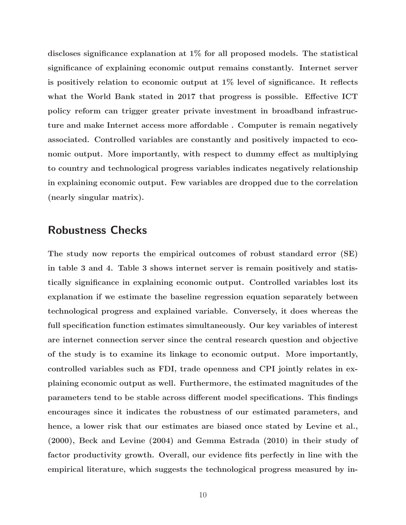discloses significance explanation at 1% for all proposed models. The statistical significance of explaining economic output remains constantly. Internet server is positively relation to economic output at 1% level of significance. It reflects what the World Bank stated in 2017 that progress is possible. Effective ICT policy reform can trigger greater private investment in broadband infrastructure and make Internet access more affordable . Computer is remain negatively associated. Controlled variables are constantly and positively impacted to economic output. More importantly, with respect to dummy effect as multiplying to country and technological progress variables indicates negatively relationship in explaining economic output. Few variables are dropped due to the correlation (nearly singular matrix).

#### Robustness Checks

The study now reports the empirical outcomes of robust standard error (SE) in table 3 and 4. Table 3 shows internet server is remain positively and statistically significance in explaining economic output. Controlled variables lost its explanation if we estimate the baseline regression equation separately between technological progress and explained variable. Conversely, it does whereas the full specification function estimates simultaneously. Our key variables of interest are internet connection server since the central research question and objective of the study is to examine its linkage to economic output. More importantly, controlled variables such as FDI, trade openness and CPI jointly relates in explaining economic output as well. Furthermore, the estimated magnitudes of the parameters tend to be stable across different model specifications. This findings encourages since it indicates the robustness of our estimated parameters, and hence, a lower risk that our estimates are biased once stated by Levine et al., (2000), Beck and Levine (2004) and Gemma Estrada (2010) in their study of factor productivity growth. Overall, our evidence fits perfectly in line with the empirical literature, which suggests the technological progress measured by in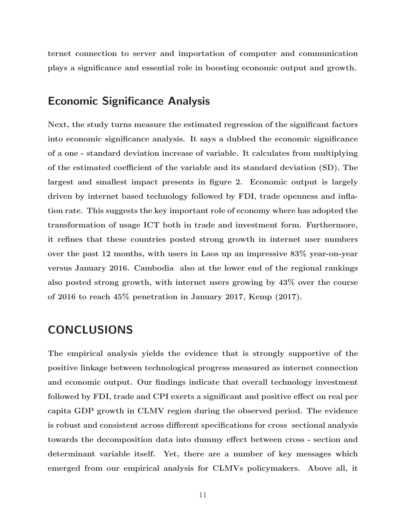ternet connection to server and importation of computer and communication plays a significance and essential role in boosting economic output and growth.

#### Economic Significance Analysis

Next, the study turns measure the estimated regression of the significant factors into economic significance analysis. It says a dubbed the economic significance of a one - standard deviation increase of variable. It calculates from multiplying of the estimated coefficient of the variable and its standard deviation (SD). The largest and smallest impact presents in figure 2. Economic output is largely driven by internet based technology followed by FDI, trade openness and inflation rate. This suggests the key important role of economy where has adopted the transformation of usage ICT both in trade and investment form. Furthermore, it refines that these countries posted strong growth in internet user numbers over the past 12 months, with users in Laos up an impressive 83% year-on-year versus January 2016. Cambodia also at the lower end of the regional rankings also posted strong growth, with internet users growing by 43% over the course of 2016 to reach 45% penetration in January 2017, Kemp (2017).

#### CONCLUSIONS

The empirical analysis yields the evidence that is strongly supportive of the positive linkage between technological progress measured as internet connection and economic output. Our findings indicate that overall technology investment followed by FDI, trade and CPI exerts a significant and positive effect on real per capita GDP growth in CLMV region during the observed period. The evidence is robust and consistent across different specifications for cross sectional analysis towards the decomposition data into dummy effect between cross - section and determinant variable itself. Yet, there are a number of key messages which emerged from our empirical analysis for CLMVs policymakers. Above all, it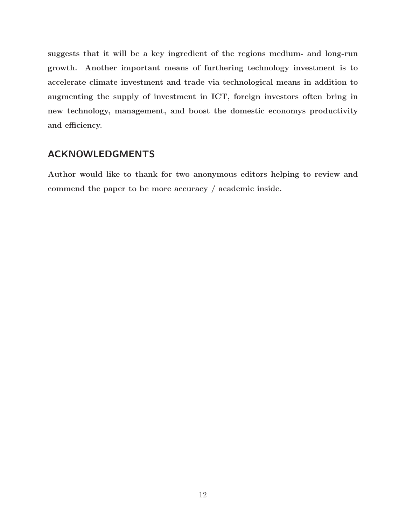suggests that it will be a key ingredient of the regions medium- and long-run growth. Another important means of furthering technology investment is to accelerate climate investment and trade via technological means in addition to augmenting the supply of investment in ICT, foreign investors often bring in new technology, management, and boost the domestic economys productivity and efficiency.

#### ACKNOWLEDGMENTS

Author would like to thank for two anonymous editors helping to review and commend the paper to be more accuracy / academic inside.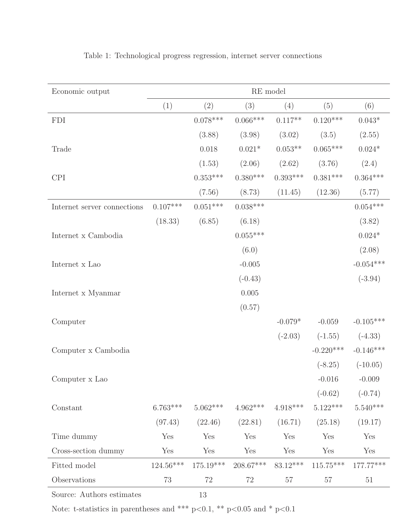| Economic output             | RE model    |             |            |            |             |                |
|-----------------------------|-------------|-------------|------------|------------|-------------|----------------|
|                             | (1)         | (2)         | (3)        | (4)        | (5)         | (6)            |
| <b>FDI</b>                  |             | $0.078***$  | $0.066***$ | $0.117**$  | $0.120***$  | $0.043*$       |
|                             |             | (3.88)      | (3.98)     | (3.02)     | (3.5)       | (2.55)         |
| Trade                       |             | 0.018       | $0.021*$   | $0.053**$  | $0.065***$  | $0.024^{\ast}$ |
|                             |             | (1.53)      | (2.06)     | (2.62)     | (3.76)      | (2.4)          |
| <b>CPI</b>                  |             | $0.353***$  | $0.380***$ | $0.393***$ | $0.381***$  | $0.364***$     |
|                             |             | (7.56)      | (8.73)     | (11.45)    | (12.36)     | (5.77)         |
| Internet server connections | $0.107***$  | $0.051***$  | $0.038***$ |            |             | $0.054***$     |
|                             | (18.33)     | (6.85)      | (6.18)     |            |             | (3.82)         |
| Internet x Cambodia         |             |             | $0.055***$ |            |             | $0.024^{\ast}$ |
|                             |             |             | (6.0)      |            |             | (2.08)         |
| Internet x Lao              |             |             | $-0.005$   |            |             | $-0.054***$    |
|                             |             |             | $(-0.43)$  |            |             | $(-3.94)$      |
| Internet x Myanmar          |             |             | $0.005\,$  |            |             |                |
|                             |             |             | (0.57)     |            |             |                |
| Computer                    |             |             |            | $-0.079*$  | $-0.059$    | $-0.105***$    |
|                             |             |             |            | $(-2.03)$  | $(-1.55)$   | $(-4.33)$      |
| Computer x Cambodia         |             |             |            |            | $-0.220***$ | $-0.146***$    |
|                             |             |             |            |            | $(-8.25)$   | $(-10.05)$     |
| Computer x Lao              |             |             |            |            | $-0.016$    | $-0.009$       |
|                             |             |             |            |            | $(-0.62)$   | $(-0.74)$      |
| Constant                    | $6.763***$  | $5.062***$  | $4.962***$ | $4.918***$ | $5.122***$  | $5.540***$     |
|                             | (97.43)     | (22.46)     | (22.81)    | (16.71)    | (25.18)     | (19.17)        |
| Time dummy                  | Yes         | Yes         | Yes        | Yes        | Yes         | Yes            |
| Cross-section dummy         | Yes         | Yes         | Yes        | Yes        | Yes         | Yes            |
| Fitted model                | $124.56***$ | $175.19***$ | 208.67***  | $83.12***$ | $115.75***$ | $177.77***$    |
| Observations                | 73          | 72          | 72         | 57         | $57\,$      | $51\,$         |

Table 1: Technological progress regression, internet server connections

Source: Authors estimates

13

Note: t-statistics in parentheses and \*\*\* p<0.1, \*\* p<0.05 and \* p<0.1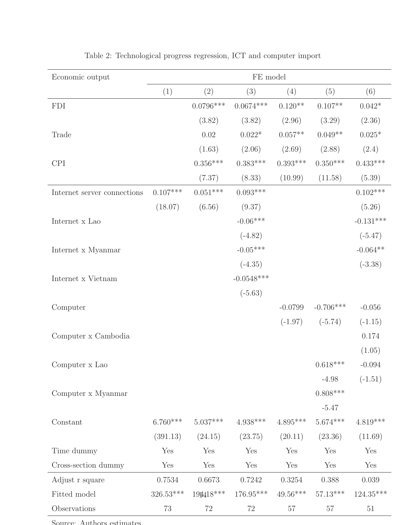| Economic output             | FE model   |             |              |            |             |                |
|-----------------------------|------------|-------------|--------------|------------|-------------|----------------|
|                             | (1)        | (2)         | (3)          | (4)        | (5)         | (6)            |
| <b>FDI</b>                  |            | $0.0796***$ | $0.0674***$  | $0.120**$  | $0.107**$   | $0.042*$       |
|                             |            | (3.82)      | (3.82)       | (2.96)     | (3.29)      | (2.36)         |
| Trade                       |            | 0.02        | $0.022*$     | $0.057**$  | $0.049**$   | $0.025^{\ast}$ |
|                             |            | (1.63)      | (2.06)       | (2.69)     | (2.88)      | (2.4)          |
| <b>CPI</b>                  |            | $0.356***$  | $0.383***$   | $0.393***$ | $0.350***$  | $0.433***$     |
|                             |            | (7.37)      | (8.33)       | (10.99)    | (11.58)     | (5.39)         |
| Internet server connections | $0.107***$ | $0.051***$  | $0.093***$   |            |             | $0.102***$     |
|                             | (18.07)    | (6.56)      | (9.37)       |            |             | (5.26)         |
| Internet x Lao              |            |             | $-0.06***$   |            |             | $-0.131***$    |
|                             |            |             | $(-4.82)$    |            |             | $(-5.47)$      |
| Internet x Myanmar          |            |             | $-0.05***$   |            |             | $-0.064**$     |
|                             |            |             | $(-4.35)$    |            |             | $(-3.38)$      |
| Internet x Vietnam          |            |             | $-0.0548***$ |            |             |                |
|                             |            |             | $(-5.63)$    |            |             |                |
| Computer                    |            |             |              | $-0.0799$  | $-0.706***$ | $-0.056$       |
|                             |            |             |              | $(-1.97)$  | $(-5.74)$   | $(-1.15)$      |
| Computer x Cambodia         |            |             |              |            |             | $0.174\,$      |
|                             |            |             |              |            |             | (1.05)         |
| Computer x Lao              |            |             |              |            | $0.618***$  | $-0.094$       |
|                             |            |             |              |            | $-4.98$     | $(-1.51)$      |
| Computer x Myanmar          |            |             |              |            | $0.808***$  |                |
|                             |            |             |              |            | $-5.47$     |                |
| Constant                    | $6.760***$ | $5.037***$  | $4.938***$   | $4.895***$ | $5.674***$  | $4.819***$     |
|                             | (391.13)   | (24.15)     | (23.75)      | (20.11)    | (23.36)     | (11.69)        |
| Time dummy                  | Yes        | Yes         | Yes          | Yes        | Yes         | Yes            |
| Cross-section dummy         | Yes        | Yes         | Yes          | Yes        | Yes         | Yes            |
| Adjust r square             | 0.7534     | 0.6673      | 0.7242       | 0.3254     | 0.388       | 0.039          |
| Fitted model                | 326.53***  | 194418***   | 176.95***    | $49.56***$ | $57.13***$  | $124.35***$    |
| Observations                | $73\,$     | 72          | 72           | $57\,$     | $57\,$      | $51\,$         |

Table 2: Technological progress regression, ICT and computer import

Source: Authors estimates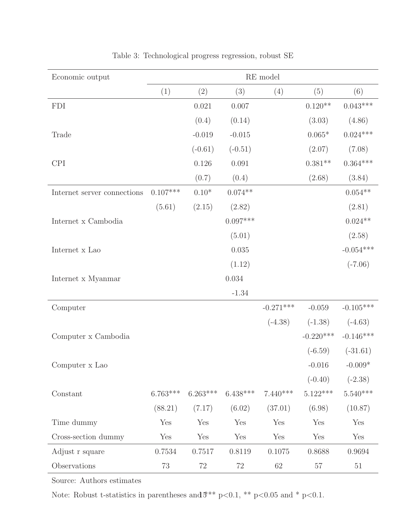| Economic output             | RE model   |               |            |             |             |             |
|-----------------------------|------------|---------------|------------|-------------|-------------|-------------|
|                             | (1)        | (2)           | (3)        | (4)         | (5)         | (6)         |
| <b>FDI</b>                  |            | 0.021         | $0.007\,$  |             | $0.120**$   | $0.043***$  |
|                             |            | (0.4)         | (0.14)     |             | (3.03)      | (4.86)      |
| Trade                       |            | $-0.019$      | $-0.015$   |             | $0.065*$    | $0.024***$  |
|                             |            | $(-0.61)$     | $(-0.51)$  |             | (2.07)      | (7.08)      |
| <b>CPI</b>                  |            | 0.126         | 0.091      |             | $0.381**$   | $0.364***$  |
|                             |            | (0.7)         | (0.4)      |             | (2.68)      | (3.84)      |
| Internet server connections | $0.107***$ | $0.10^{\ast}$ | $0.074**$  |             |             | $0.054**$   |
|                             | (5.61)     | (2.15)        | (2.82)     |             |             | (2.81)      |
| Internet x Cambodia         |            |               | $0.097***$ |             |             | $0.024**$   |
|                             |            |               | (5.01)     |             |             | (2.58)      |
| Internet x Lao              |            |               | 0.035      |             |             | $-0.054***$ |
|                             |            |               | (1.12)     |             |             | $(-7.06)$   |
| Internet x Myanmar          |            |               | 0.034      |             |             |             |
|                             |            |               | $-1.34$    |             |             |             |
| Computer                    |            |               |            | $-0.271***$ | $-0.059$    | $-0.105***$ |
|                             |            |               |            | $(-4.38)$   | $(-1.38)$   | $(-4.63)$   |
| Computer x Cambodia         |            |               |            |             | $-0.220***$ | $-0.146***$ |
|                             |            |               |            |             | $(-6.59)$   | $(-31.61)$  |
| Computer x Lao              |            |               |            |             | $-0.016$    | $-0.009*$   |
|                             |            |               |            |             | $(-0.40)$   | $(-2.38)$   |
| Constant                    | $6.763***$ | $6.263***$    | $6.438***$ | $7.440***$  | $5.122***$  | $5.540***$  |
|                             | (88.21)    | (7.17)        | (6.02)     | (37.01)     | (6.98)      | (10.87)     |
| Time dummy                  | Yes        | Yes           | Yes        | Yes         | Yes         | Yes         |
| Cross-section dummy         | Yes        | Yes           | Yes        | Yes         | Yes         | Yes         |
| Adjust r square             | 0.7534     | 0.7517        | 0.8119     | 0.1075      | 0.8688      | 0.9694      |
| Observations                | $73\,$     | $72\,$        | $72\,$     | $62\,$      | $57\,$      | $51\,$      |

Table 3: Technological progress regression, robust SE

Source: Authors estimates

Note: Robust t-statistics in parentheses and  $\sharp^{**}$  p<0.1,  $^{**}$  p<0.05 and \* p<0.1.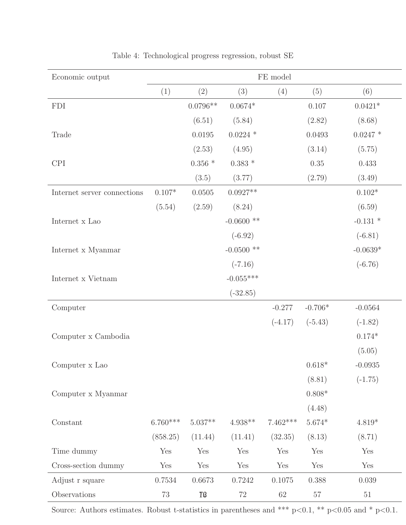| Economic output             |            | FE model          |                   |            |           |                 |
|-----------------------------|------------|-------------------|-------------------|------------|-----------|-----------------|
|                             | (1)        | (2)               | (3)               | (4)        | (5)       | (6)             |
| <b>FDI</b>                  |            | $0.0796**$        | $0.0674*$         |            | 0.107     | $0.0421^{\ast}$ |
|                             |            | (6.51)            | (5.84)            |            | (2.82)    | (8.68)          |
| Trade                       |            | 0.0195            | $0.0224$ *        |            | 0.0493    | $0.0247$ *      |
|                             |            | (2.53)            | (4.95)            |            | (3.14)    | (5.75)          |
| <b>CPI</b>                  |            | $0.356$ $^{\ast}$ | $0.383$ $^{\ast}$ |            | $0.35\,$  | 0.433           |
|                             |            | (3.5)             | (3.77)            |            | (2.79)    | (3.49)          |
| Internet server connections | $0.107*$   | 0.0505            | $0.0927**$        |            |           | $0.102^{\ast}$  |
|                             | (5.54)     | (2.59)            | (8.24)            |            |           | (6.59)          |
| Internet x Lao              |            |                   | $-0.0600$ **      |            |           | $-0.131$ *      |
|                             |            |                   | $(-6.92)$         |            |           | $(-6.81)$       |
| Internet x Myanmar          |            |                   | $-0.0500$ **      |            |           | $-0.0639*$      |
|                             |            |                   | $(-7.16)$         |            |           | $(-6.76)$       |
| Internet x Vietnam          |            |                   | $-0.055***$       |            |           |                 |
|                             |            |                   | $(-32.85)$        |            |           |                 |
| Computer                    |            |                   |                   | $-0.277$   | $-0.706*$ | $-0.0564$       |
|                             |            |                   |                   | $(-4.17)$  | $(-5.43)$ | $(-1.82)$       |
| Computer x Cambodia         |            |                   |                   |            |           | $0.174*$        |
|                             |            |                   |                   |            |           | (5.05)          |
| Computer x Lao              |            |                   |                   |            | $0.618*$  | $-0.0935$       |
|                             |            |                   |                   |            | (8.81)    | $(-1.75)$       |
| Computer x Myanmar          |            |                   |                   |            | $0.808*$  |                 |
|                             |            |                   |                   |            | (4.48)    |                 |
| Constant                    | $6.760***$ | $5.037**$         | $4.938**$         | $7.462***$ | $5.674*$  | $4.819*$        |
|                             | (858.25)   | (11.44)           | (11.41)           | (32.35)    | (8.13)    | (8.71)          |
| Time dummy                  | Yes        | Yes               | Yes               | Yes        | Yes       | Yes             |
| Cross-section dummy         | Yes        | Yes               | Yes               | Yes        | Yes       | Yes             |
| Adjust r square             | 0.7534     | 0.6673            | 0.7242            | 0.1075     | 0.388     | 0.039           |
| Observations                | $73\,$     | <b>TØ</b>         | $72\,$            | $62\,$     | $57\,$    | $51\,$          |

Table 4: Technological progress regression, robust SE

Source: Authors estimates. Robust t-statistics in parentheses and \*\*\* p<0.1, \*\* p<0.05 and \* p<0.1.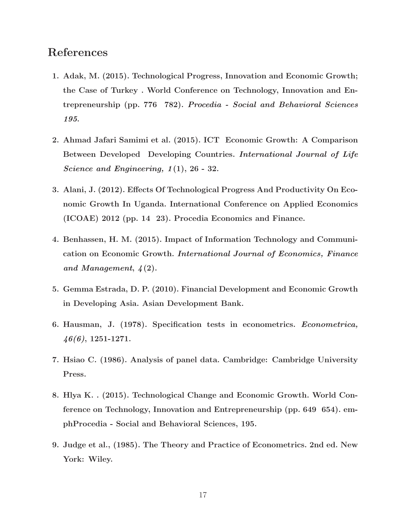#### References

- 1. Adak, M. (2015). Technological Progress, Innovation and Economic Growth; the Case of Turkey . World Conference on Technology, Innovation and Entrepreneurship (pp. 776 782). Procedia - Social and Behavioral Sciences 195.
- 2. Ahmad Jafari Samimi et al. (2015). ICT Economic Growth: A Comparison Between Developed Developing Countries. International Journal of Life Science and Engineering, 1(1), 26 - 32.
- 3. Alani, J. (2012). Effects Of Technological Progress And Productivity On Economic Growth In Uganda. International Conference on Applied Economics (ICOAE) 2012 (pp. 14 23). Procedia Economics and Finance.
- 4. Benhassen, H. M. (2015). Impact of Information Technology and Communication on Economic Growth. International Journal of Economics, Finance and Management, 4(2).
- 5. Gemma Estrada, D. P. (2010). Financial Development and Economic Growth in Developing Asia. Asian Development Bank.
- 6. Hausman, J. (1978). Specification tests in econometrics. Econometrica,  $46(6)$ , 1251-1271.
- 7. Hsiao C. (1986). Analysis of panel data. Cambridge: Cambridge University Press.
- 8. Hlya K. . (2015). Technological Change and Economic Growth. World Conference on Technology, Innovation and Entrepreneurship (pp. 649 654). emphProcedia - Social and Behavioral Sciences, 195.
- 9. Judge et al., (1985). The Theory and Practice of Econometrics. 2nd ed. New York: Wiley.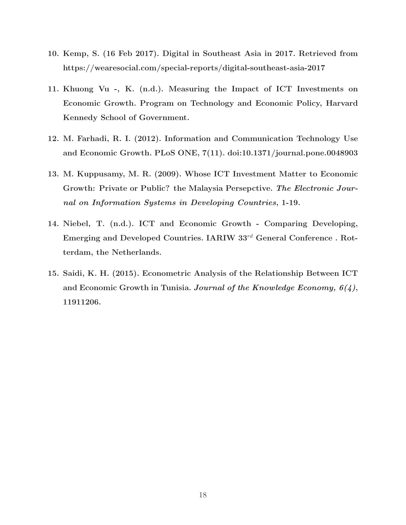- 10. Kemp, S. (16 Feb 2017). Digital in Southeast Asia in 2017. Retrieved from https://wearesocial.com/special-reports/digital-southeast-asia-2017
- 11. Khuong Vu -, K. (n.d.). Measuring the Impact of ICT Investments on Economic Growth. Program on Technology and Economic Policy, Harvard Kennedy School of Government.
- 12. M. Farhadi, R. I. (2012). Information and Communication Technology Use and Economic Growth. PLoS ONE, 7(11). doi:10.1371/journal.pone.0048903
- 13. M. Kuppusamy, M. R. (2009). Whose ICT Investment Matter to Economic Growth: Private or Public? the Malaysia Persepctive. The Electronic Journal on Information Systems in Developing Countries, 1-19.
- 14. Niebel, T. (n.d.). ICT and Economic Growth Comparing Developing, Emerging and Developed Countries. IARIW 33rd General Conference . Rotterdam, the Netherlands.
- 15. Saidi, K. H. (2015). Econometric Analysis of the Relationship Between ICT and Economic Growth in Tunisia. Journal of the Knowledge Economy,  $6(4)$ , 11911206.